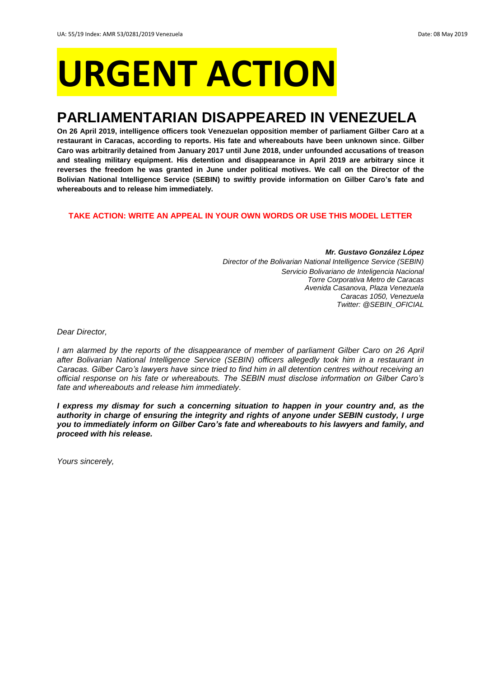# **URGENT ACTION**

## **PARLIAMENTARIAN DISAPPEARED IN VENEZUELA**

**On 26 April 2019, intelligence officers took Venezuelan opposition member of parliament Gilber Caro at a restaurant in Caracas, according to reports. His fate and whereabouts have been unknown since. Gilber Caro was arbitrarily detained from January 2017 until June 2018, under unfounded accusations of treason and stealing military equipment. His detention and disappearance in April 2019 are arbitrary since it reverses the freedom he was granted in June under political motives. We call on the Director of the Bolivian National Intelligence Service (SEBIN) to swiftly provide information on Gilber Caro's fate and whereabouts and to release him immediately.**

#### **TAKE ACTION: WRITE AN APPEAL IN YOUR OWN WORDS OR USE THIS MODEL LETTER**

*Mr. Gustavo González López Director of the Bolivarian National Intelligence Service (SEBIN) Servicio Bolivariano de Inteligencia Nacional Torre Corporativa Metro de Caracas Avenida Casanova, Plaza Venezuela Caracas 1050, Venezuela Twitter: @SEBIN\_OFICIAL*

*Dear Director,*

*I am alarmed by the reports of the disappearance of member of parliament Gilber Caro on 26 April after Bolivarian National Intelligence Service (SEBIN) officers allegedly took him in a restaurant in Caracas. Gilber Caro's lawyers have since tried to find him in all detention centres without receiving an official response on his fate or whereabouts. The SEBIN must disclose information on Gilber Caro's fate and whereabouts and release him immediately.*

*I express my dismay for such a concerning situation to happen in your country and, as the authority in charge of ensuring the integrity and rights of anyone under SEBIN custody, I urge you to immediately inform on Gilber Caro's fate and whereabouts to his lawyers and family, and proceed with his release.*

*Yours sincerely,*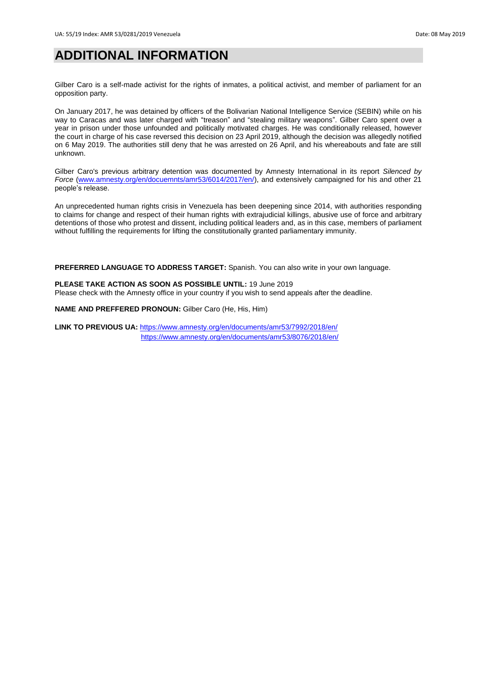## **ADDITIONAL INFORMATION**

Gilber Caro is a self-made activist for the rights of inmates, a political activist, and member of parliament for an opposition party.

On January 2017, he was detained by officers of the Bolivarian National Intelligence Service (SEBIN) while on his way to Caracas and was later charged with "treason" and "stealing military weapons". Gilber Caro spent over a year in prison under those unfounded and politically motivated charges. He was conditionally released, however the court in charge of his case reversed this decision on 23 April 2019, although the decision was allegedly notified on 6 May 2019. The authorities still deny that he was arrested on 26 April, and his whereabouts and fate are still unknown.

Gilber Caro's previous arbitrary detention was documented by Amnesty International in its report *Silenced by Force* [\(www.amnesty.org/en/docuemnts/amr53/6014/2017/en/\)](http://www.amnesty.org/en/docuemnts/amr53/6014/2017/en/), and extensively campaigned for his and other 21 people's release.

An unprecedented human rights crisis in Venezuela has been deepening since 2014, with authorities responding to claims for change and respect of their human rights with extrajudicial killings, abusive use of force and arbitrary detentions of those who protest and dissent, including political leaders and, as in this case, members of parliament without fulfilling the requirements for lifting the constitutionally granted parliamentary immunity.

**PREFERRED LANGUAGE TO ADDRESS TARGET:** Spanish. You can also write in your own language.

**PLEASE TAKE ACTION AS SOON AS POSSIBLE UNTIL:** 19 June 2019 Please check with the Amnesty office in your country if you wish to send appeals after the deadline.

**NAME AND PREFFERED PRONOUN:** Gilber Caro (He, His, Him)

**LINK TO PREVIOUS UA:** <https://www.amnesty.org/en/documents/amr53/7992/2018/en/> <https://www.amnesty.org/en/documents/amr53/8076/2018/en/>